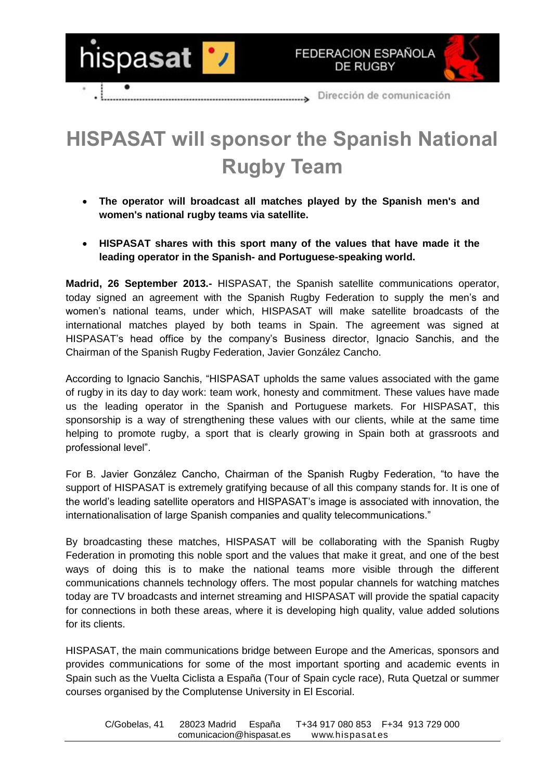



Dirección de comunicación

## **HISPASAT will sponsor the Spanish National Rugby Team**

- **The operator will broadcast all matches played by the Spanish men's and women's national rugby teams via satellite.**
- **HISPASAT shares with this sport many of the values that have made it the leading operator in the Spanish- and Portuguese-speaking world.**

**Madrid, 26 September 2013.-** HISPASAT, the Spanish satellite communications operator, today signed an agreement with the Spanish Rugby Federation to supply the men's and women's national teams, under which, HISPASAT will make satellite broadcasts of the international matches played by both teams in Spain. The agreement was signed at HISPASAT's head office by the company's Business director, Ignacio Sanchis, and the Chairman of the Spanish Rugby Federation, Javier González Cancho.

According to Ignacio Sanchis, "HISPASAT upholds the same values associated with the game of rugby in its day to day work: team work, honesty and commitment. These values have made us the leading operator in the Spanish and Portuguese markets. For HISPASAT, this sponsorship is a way of strengthening these values with our clients, while at the same time helping to promote rugby, a sport that is clearly growing in Spain both at grassroots and professional level".

For B. Javier González Cancho, Chairman of the Spanish Rugby Federation, "to have the support of HISPASAT is extremely gratifying because of all this company stands for. It is one of the world's leading satellite operators and HISPASAT's image is associated with innovation, the internationalisation of large Spanish companies and quality telecommunications."

By broadcasting these matches, HISPASAT will be collaborating with the Spanish Rugby Federation in promoting this noble sport and the values that make it great, and one of the best ways of doing this is to make the national teams more visible through the different communications channels technology offers. The most popular channels for watching matches today are TV broadcasts and internet streaming and HISPASAT will provide the spatial capacity for connections in both these areas, where it is developing high quality, value added solutions for its clients.

HISPASAT, the main communications bridge between Europe and the Americas, sponsors and provides communications for some of the most important sporting and academic events in Spain such as the Vuelta Ciclista a España (Tour of Spain cycle race), Ruta Quetzal or summer courses organised by the Complutense University in El Escorial.